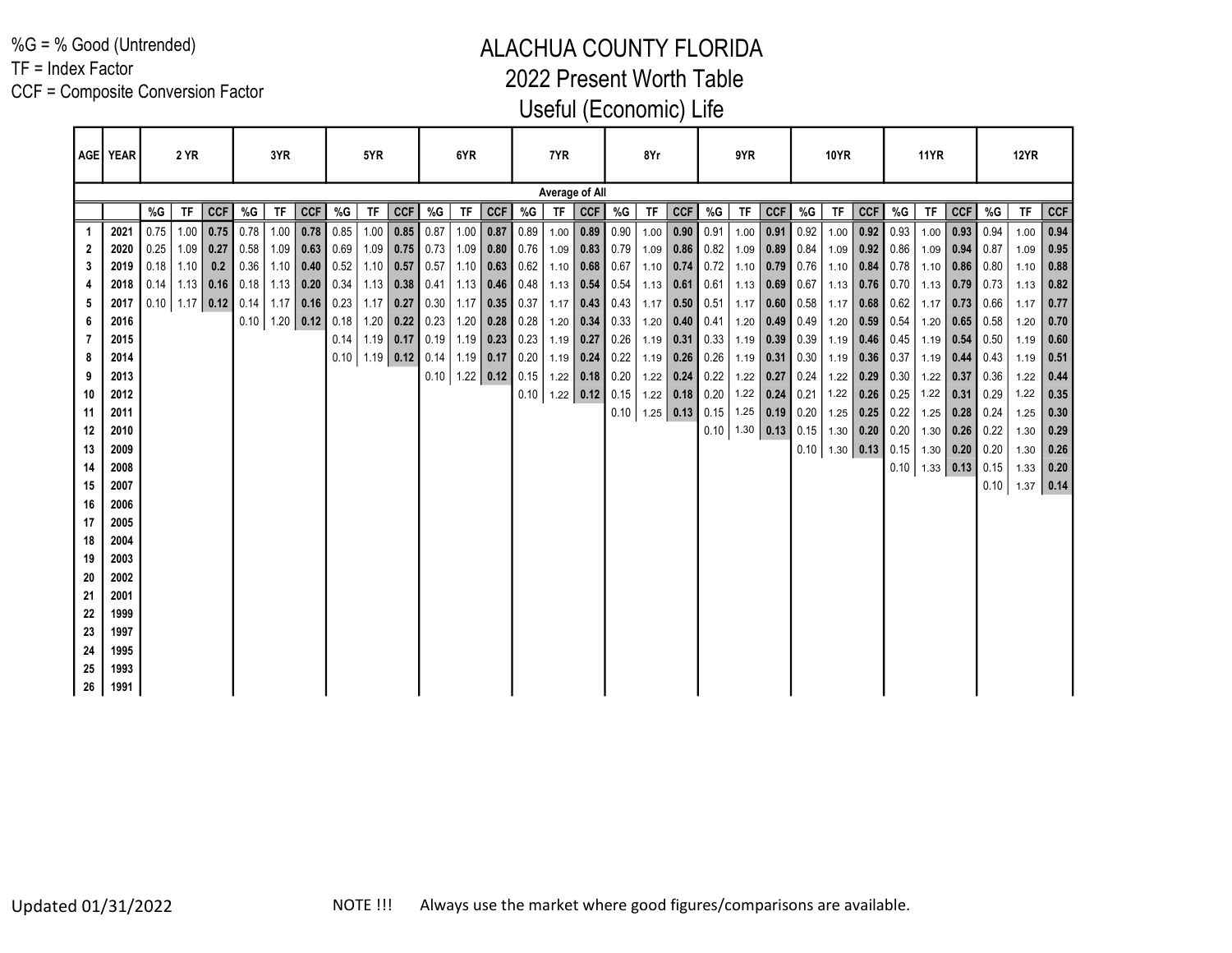%G = % Good (Untrended)

TF = Index Factor

CCF = Composite Conversion Factor

|          | AGE   YEAR   |      | 2 YR |             |                                                  | 3YR       |                             |      | 5YR                     |                  |    | 6YR       |                             |       | 7YR  |                  |                             | 8Yr  |               |                                        | 9YR                  |            |                                     | <b>10YR</b> |            |                                                                | <b>11YR</b>      |             |                                   | 12YR        |              |
|----------|--------------|------|------|-------------|--------------------------------------------------|-----------|-----------------------------|------|-------------------------|------------------|----|-----------|-----------------------------|-------|------|------------------|-----------------------------|------|---------------|----------------------------------------|----------------------|------------|-------------------------------------|-------------|------------|----------------------------------------------------------------|------------------|-------------|-----------------------------------|-------------|--------------|
|          |              |      |      |             |                                                  |           |                             |      |                         |                  |    |           |                             |       |      | Average of All   |                             |      |               |                                        |                      |            |                                     |             |            |                                                                |                  |             |                                   |             |              |
|          |              | %G   | TF   | <b>CCF</b>  | %G                                               | <b>TF</b> | CCF                         | %G   | <b>TF</b>               | <b>CCF</b>       | %G | <b>TF</b> | CCF                         | $\%G$ | TF   | CCF              | %G                          | TF   | <b>CCF</b>    | %G                                     | <b>TF</b>            | <b>CCF</b> | %G                                  | TF          | <b>CCF</b> | %G                                                             | TF               | <b>CCF</b>  | %G                                | <b>TF</b>   | <b>CCF</b>   |
|          | 2021         | 0.75 | 1.00 | 0.75        | 0.78                                             | 1.00      | $0.78$ 0.85                 |      |                         | $1.00$ 0.85 0.87 |    |           | $1.00$ 0.87                 | 0.89  | 1.00 |                  | $0.89$ 0.90                 | 1.00 | $0.90 \ 0.91$ |                                        | 1.00                 | 0.91       | $\vert 0.92 \vert$                  | 1.00        |            | $0.92$ 0.93                                                    | 1.00             | $0.93$ 0.94 |                                   | 1.00        | 0.94         |
| 2        | 2020         | 0.25 |      | $1.09$ 0.27 | 0.58                                             |           | $1.09$ 0.63 0.69            |      |                         | $1.09$ 0.75 0.73 |    |           | $1.09$ 0.80 0.76            |       | 1.09 |                  | $0.83 \mid 0.79$            | 1.09 |               | $0.86$ 0.82                            |                      |            | $1.09$ 0.89 0.84                    | 1.09        |            | $0.92$ 0.86                                                    | 1.09             | $0.94$ 0.87 |                                   | 1.09        | 0.95         |
| 3        | 2019         |      |      |             | $0.18$   1.10   0.2   0.36   1.10   0.40   0.52  |           |                             |      |                         | $1.10$ 0.57 0.57 |    |           | $1.10$ 0.63 0.62            |       |      | $1.10$ 0.68 0.67 |                             |      |               | 1.10 $\vert$ 0.74 $\vert$ 0.72 $\vert$ |                      |            | $1.10$ 0.79 0.76                    | 1.10        |            | $0.84$ 0.78 1.10 0.86 0.80                                     |                  |             |                                   | 1.10        | 0.88         |
|          | 2018         |      |      |             | $0.14$   1.13   0.16   0.18   1.13   0.20   0.34 |           |                             |      |                         | $1.13$ 0.38 0.41 |    |           | $1.13$ 0.46 0.48            |       |      | $1.13$ 0.54 0.54 |                             |      |               | $1.13$ 0.61 0.61                       | $1.13$ 0.69          |            | 0.67                                | 1.13        |            | $0.76$ 0.70 1.13 0.79 0.73                                     |                  |             |                                   | 1.13        | 0.82         |
| 5        | 2017         |      |      |             | $0.10$   1.17   0.12   0.14   1.17   0.16   0.23 |           |                             |      |                         | $1.17$ 0.27 0.30 |    |           | $1.17$ 0.35 0.37            |       |      |                  | $1.17$ 0.43 0.43            | 1.17 |               | $0.50 \ 0.51$                          |                      |            | 1.17 0.60 $0.58$                    | 1.17        |            | $0.68$ 0.62                                                    | 1.17             |             | $0.73$ 0.66                       | 1.17        | 0.77         |
| 6        | 2016         |      |      |             |                                                  |           | $0.10$   1.20   0.12   0.18 |      |                         | $1.20$ 0.22 0.23 |    |           | $1.20$ 0.28 0.28            |       |      |                  | $1.20$ 0.34 0.33            | 1.20 |               | $\vert 0.40 \vert 0.41 \vert$          |                      |            | 1.20 $\mid$ 0.49 $\mid$ 0.49 $\mid$ | 1.20        |            | $0.59$ 0.54                                                    | 1.20             |             | $\vert$ 0.65 $\vert$ 0.58 $\vert$ | 1.20        | 0.70         |
| 7        | 2015         |      |      |             |                                                  |           |                             | 0.14 |                         | $1.19$ 0.17 0.19 |    |           | $1.19$ 0.23 0.23            |       |      | $1.19$ 0.27 0.26 |                             |      |               | $1.19$ 0.31 0.33                       |                      |            | $1.19$ 0.39 0.39                    | 1.19        |            | $0.46$ 0.45                                                    |                  |             | $1.19$ 0.54 0.50                  | 1.19        | 0.60         |
| 8        | 2014         |      |      |             |                                                  |           |                             |      | $0.10$   1.19 0.12 0.14 |                  |    |           | $1.19$ 0.17 0.20            |       |      | $1.19$ 0.24 0.22 |                             |      |               | $1.19$ 0.26 0.26                       |                      |            | $1.19$ 0.31 0.30                    | 1.19        |            | $0.36$ 0.37                                                    | $1.19$ 0.44 0.43 |             |                                   | 1.19        | 0.51         |
| 9        | 2013         |      |      |             |                                                  |           |                             |      |                         |                  |    |           | $0.10$   1.22   0.12   0.15 |       |      | $1.22$ 0.18 0.20 |                             |      |               | $1.22$ 0.24 0.22                       |                      |            | 1.22 0.27 0.24                      | 1.22        |            | $\vert 0.29 \vert 0.30 \vert 1.22 \vert 0.37 \vert 0.36 \vert$ |                  |             |                                   | 1.22        | 0.44         |
| 10       | 2012         |      |      |             |                                                  |           |                             |      |                         |                  |    |           |                             |       |      |                  | $0.10$   1.22   0.12   0.15 |      |               | 1.22 $\vert$ 0.18 0.20 $\vert$         |                      |            | $1.22$ 0.24 0.21                    | 1.22        |            | $0.26$ 0.25                                                    | 1.22             |             | $0.31$ 0.29                       | 1.22        | 0.35         |
| 11       | 2011         |      |      |             |                                                  |           |                             |      |                         |                  |    |           |                             |       |      |                  | 0.10                        |      |               | $1.25$ 0.13 0.15                       |                      |            | $1.25$ 0.19 0.20                    |             |            | $1.25$ 0.25 0.22                                               | $1.25$ 0.28 0.24 |             |                                   | 1.25        | $\vert$ 0.30 |
| 12       | 2010         |      |      |             |                                                  |           |                             |      |                         |                  |    |           |                             |       |      |                  |                             |      |               |                                        | $0.10$   1.30   0.13 |            | 0.15                                | 1.30        |            | 0.20   0.20                                                    | $1.30$ 0.26 0.22 |             |                                   | 1.30        | 0.29         |
| 13       | 2009         |      |      |             |                                                  |           |                             |      |                         |                  |    |           |                             |       |      |                  |                             |      |               |                                        |                      |            |                                     |             |            | $0.10$   1.30   0.13   0.15   1.30   0.20   0.20               |                  |             |                                   | 1.30        | 0.26         |
| 14       | 2008         |      |      |             |                                                  |           |                             |      |                         |                  |    |           |                             |       |      |                  |                             |      |               |                                        |                      |            |                                     |             |            |                                                                |                  |             | $0.10$   1.33   0.13   0.15       | $1.33$ 0.20 |              |
| 15<br>16 | 2007<br>2006 |      |      |             |                                                  |           |                             |      |                         |                  |    |           |                             |       |      |                  |                             |      |               |                                        |                      |            |                                     |             |            |                                                                |                  |             | 0.10                              | $1.37$ 0.14 |              |
| 17       | 2005         |      |      |             |                                                  |           |                             |      |                         |                  |    |           |                             |       |      |                  |                             |      |               |                                        |                      |            |                                     |             |            |                                                                |                  |             |                                   |             |              |
| 18       | 2004         |      |      |             |                                                  |           |                             |      |                         |                  |    |           |                             |       |      |                  |                             |      |               |                                        |                      |            |                                     |             |            |                                                                |                  |             |                                   |             |              |
| 19       | 2003         |      |      |             |                                                  |           |                             |      |                         |                  |    |           |                             |       |      |                  |                             |      |               |                                        |                      |            |                                     |             |            |                                                                |                  |             |                                   |             |              |
| 20       | 2002         |      |      |             |                                                  |           |                             |      |                         |                  |    |           |                             |       |      |                  |                             |      |               |                                        |                      |            |                                     |             |            |                                                                |                  |             |                                   |             |              |
| 21       | 2001         |      |      |             |                                                  |           |                             |      |                         |                  |    |           |                             |       |      |                  |                             |      |               |                                        |                      |            |                                     |             |            |                                                                |                  |             |                                   |             |              |
| 22       | 1999         |      |      |             |                                                  |           |                             |      |                         |                  |    |           |                             |       |      |                  |                             |      |               |                                        |                      |            |                                     |             |            |                                                                |                  |             |                                   |             |              |
| 23       | 1997         |      |      |             |                                                  |           |                             |      |                         |                  |    |           |                             |       |      |                  |                             |      |               |                                        |                      |            |                                     |             |            |                                                                |                  |             |                                   |             |              |
| 24       | 1995         |      |      |             |                                                  |           |                             |      |                         |                  |    |           |                             |       |      |                  |                             |      |               |                                        |                      |            |                                     |             |            |                                                                |                  |             |                                   |             |              |
| 25       | 1993         |      |      |             |                                                  |           |                             |      |                         |                  |    |           |                             |       |      |                  |                             |      |               |                                        |                      |            |                                     |             |            |                                                                |                  |             |                                   |             |              |
| 26       | 1991         |      |      |             |                                                  |           |                             |      |                         |                  |    |           |                             |       |      |                  |                             |      |               |                                        |                      |            |                                     |             |            |                                                                |                  |             |                                   |             |              |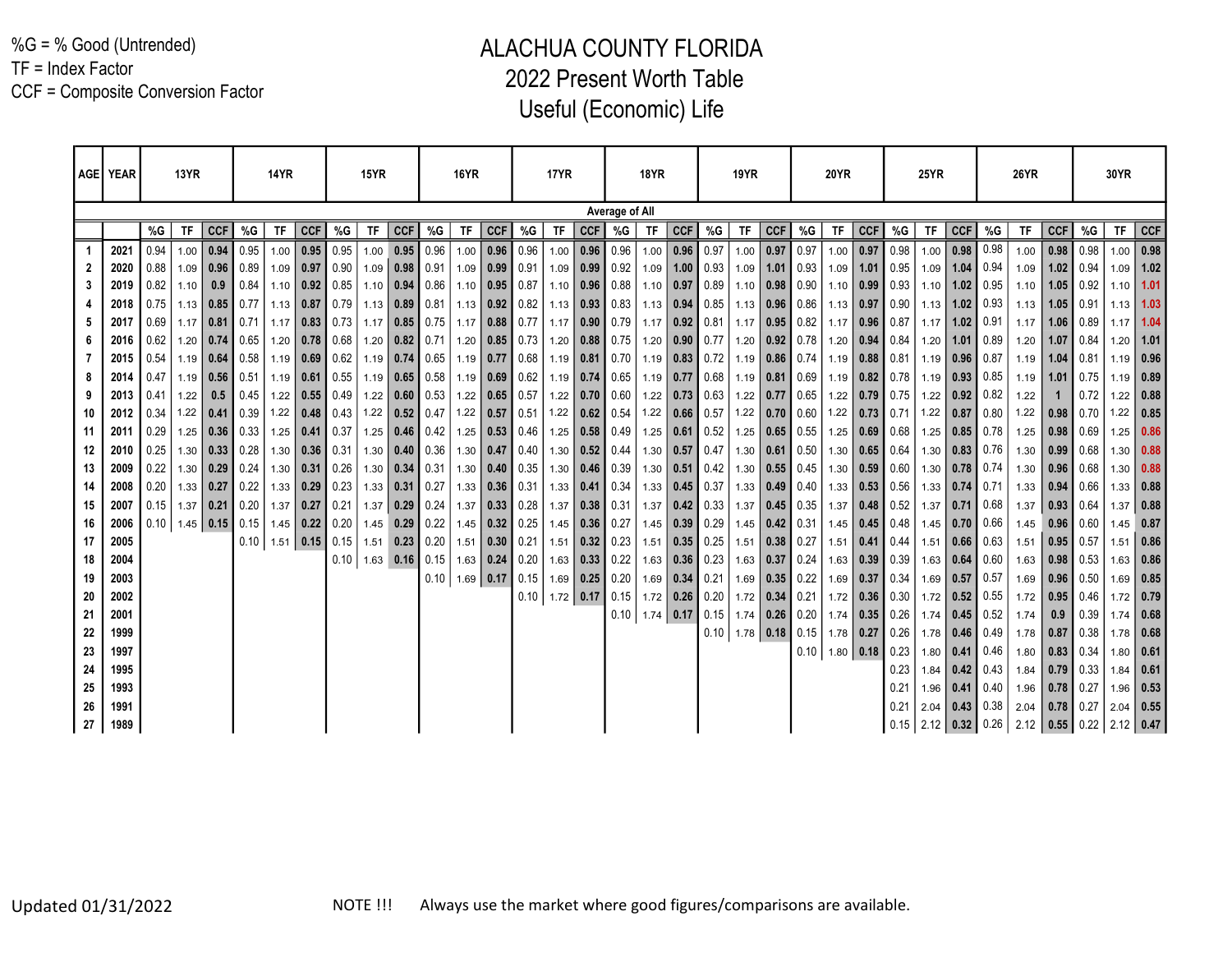%G = % Good (Untrended) TF = Index Factor CCF = Composite Conversion Factor

|    | AGE   YEAR |      | 13YR        |                             |                     | <b>14YR</b> |                           |             | 15YR               |                  |      | <b>16YR</b> |                      |      | <b>17YR</b> |      |                    | <b>18YR</b> |                               |                  | <b>19YR</b> |                  |      | <b>20YR</b>                 |                  |      | <b>25YR</b> |                           |                             | <b>26YR</b> |                      |                            | 30YR |              |
|----|------------|------|-------------|-----------------------------|---------------------|-------------|---------------------------|-------------|--------------------|------------------|------|-------------|----------------------|------|-------------|------|--------------------|-------------|-------------------------------|------------------|-------------|------------------|------|-----------------------------|------------------|------|-------------|---------------------------|-----------------------------|-------------|----------------------|----------------------------|------|--------------|
|    |            |      |             |                             |                     |             |                           |             |                    |                  |      |             |                      |      |             |      | Average of All     |             |                               |                  |             |                  |      |                             |                  |      |             |                           |                             |             |                      |                            |      |              |
|    |            | %G   | TF          | <b>CCF</b>                  | %G                  | <b>TF</b>   | <b>CCF</b>                | %G          | <b>TF</b>          | <b>CCF</b>       | %G   | <b>TF</b>   | <b>CCF</b>           | %G   | <b>TF</b>   | CCF  | %G                 | ΤF          | <b>CCF</b>                    | %G               | TF.         | <b>CCF</b>       | %G   | TF                          | CCF              | %G   | ΤF          | <b>CCF</b>                | %G                          | TF          | <b>CCF</b>           | %G                         | ΤF   | <b>CCF</b>   |
|    | 2021       | 0.94 |             | $1.00$ 0.94                 | 0.95                | 1.00        | 0.95                      | 0.95        | 1.00               | 0.95             | 0.96 | 1.00        | 0.96                 | 0.96 | 1.00        | 0.96 | 0.96               | 1.00        | 0.96                          | 0.97             | 1.00        | 0.97             | 0.97 | $1.00$ 0.97                 |                  | 0.98 | 1.00        | 0.98                      | 0.98                        | 1.00        | 0.98                 | 0.98                       | 1.00 | 0.98         |
|    | 2020       | 0.88 |             | $1.09$ 0.96                 | 0.89                | 1.09        |                           | $0.97$ 0.90 |                    | $1.09$ 0.98 0.91 |      |             | $1.09$ 0.99          | 0.91 | 1.09        | 0.99 | 0.92               | 1.09        |                               | $1.00 \ 0.93$    |             | $1.09$ 1.01      | 0.93 |                             | $1.09$ 1.01 0.95 |      | 1.09        | $1.04$ 0.94               |                             | 1.09        | 1.02                 | 0.94                       | 1.09 | 1.02         |
|    | 2019       | 0.82 | 1.10        | 0.9                         | 0.84                | 1.10        |                           | $0.92$ 0.85 |                    | $1.10$ 0.94      | 0.86 |             | $1.10$ 0.95 0.87     |      | 1.10        | 0.96 | 0.88               | 1.10        | 0.97                          | $\vert$ 0.89     |             | $1.10$ 0.98      | 0.90 |                             | $1.10$ 0.99 0.93 |      |             | $1.10$   1.02   0.95      |                             | 1.10        | 1.05                 | 0.92                       | 1.10 | 1.01         |
|    | 2018       | 0.75 |             | $1.13$   0.85               | $\blacksquare$ 0.77 | 1.13        |                           | $0.87$ 0.79 |                    | $1.13$ 0.89      | 0.81 |             | $1.13$ 0.92          | 0.82 | 1.13        |      | $0.93$ 0.83        | 1.13        |                               | $0.94$ 0.85      |             | $1.13$ 0.96      | 0.86 |                             | $1.13$ 0.97 0.90 |      |             | $1.13$ 1.02 0.93          |                             | 1.13        | 1.05                 | 0.91                       | 1.13 | 1.03         |
|    | 2017       | 0.69 | $1.17$ 0.81 |                             | 0.71                | 1.17        |                           | $0.83$ 0.73 |                    | $1.17$ 0.85      | 0.75 | 1.17        | 0.88                 | 0.77 | 1.17        | 0.90 | 0.79               | 1.17        | $0.92 \ 0.81$                 |                  | 1.17        | 0.95             | 0.82 |                             | $1.17$ 0.96 0.87 |      | 1.17        | $1.02 \mid 0.91$          |                             | 1.17        | 1.06                 | 0.89                       | 1.17 | 1.04         |
|    | 2016       | 0.62 |             | $1.20$ 0.74                 | $\vert$ 0.65        | 1.20        |                           | $0.78$ 0.68 |                    | $1.20$ 0.82      | 0.71 | 1.20        | $\vert 0.85 \vert$   | 0.73 | 1.20        | 0.88 | 0.75               | 1.20        |                               | $0.90 \mid 0.77$ |             | $1.20$ 0.92      | 0.78 |                             | $1.20$ 0.94 0.84 |      | 1.20        | 1.01                      | 0.89                        | 1.20        | 1.07                 | 0.84                       | 1.20 | 1.01         |
|    | 2015       | 0.54 |             | $1.19$ 0.64 0.58            |                     | 1.19        | $\vert$ 0.69 $\vert$ 0.62 |             |                    | $1.19$ 0.74      | 0.65 |             | $1.19$ 0.77          | 0.68 | 1.19        |      | $0.81$ 0.70        | 1.19        | $0.83 \ 0.72$                 |                  |             | $1.19$ 0.86      | 0.74 |                             | $1.19$ 0.88 0.81 |      |             | $1.19$ 0.96 0.87          |                             | 1.19        | 1.04                 | 0.81                       | 1.19 | 0.96         |
|    | 2014       | 0.47 |             | $1.19$ 0.56                 | 0.51                | 1.19        |                           | $0.61$ 0.55 |                    | $1.19$ 0.65 0.58 |      |             | $1.19$ 0.69          | 0.62 | 1.19        | 0.74 | 0.65               | 1.19        | 0.77                          | $\vert$ 0.68     |             | $1.19$ 0.81      | 0.69 |                             | $1.19$ 0.82 0.78 |      |             | $1.19$ 0.93 0.85          |                             | 1.19        | 1.01                 | 0.75                       | 1.19 | 0.89         |
|    | 2013       | 0.41 | 1.22        | 0.5                         | 0.45                | 1.22        |                           | $0.55$ 0.49 |                    | $1.22$ 0.60 0.53 |      |             | $1.22$ 0.65 0.57     |      | 1.22        | 0.70 | 0.60               | 1.22        |                               | $0.73 \mid 0.63$ |             | $1.22$ 0.77      | 0.65 |                             | $1.22$ 0.79 0.75 |      |             | $1.22$ 0.92 0.82          |                             | 1.22        |                      | 0.72                       | 1.22 | 0.88         |
| 10 | 2012       | 0.34 |             | $1.22$   0.41   0.39        |                     | 1.22        |                           | $0.48$ 0.43 |                    | $1.22$ 0.52 0.47 |      |             | $1.22$ 0.57 0.51     |      | 1.22        |      | $0.62$ 0.54        | 1.22        | $0.66$ 0.57                   |                  |             | $1.22$ 0.70 0.60 |      |                             | $1.22$ 0.73 0.71 |      |             | $1.22$ 0.87 0.80          |                             | 1.22        | $\vert$ 0.98 $\vert$ | 0.70                       | 1.22 | 0.85         |
| 11 | 2011       | 0.29 |             | $1.25$ 0.36                 | 0.33                | 1.25        | 0.41                      | 0.37        |                    | $1.25$ 0.46      | 0.42 |             | $1.25$ 0.53          | 0.46 | 1.25        | 0.58 | 0.49               | 1.25        | 0.61                          | $\vert$ 0.52     |             | $1.25$ 0.65      | 0.55 |                             | $1.25$ 0.69 0.68 |      |             | $1.25$ 0.85 0.78          |                             | 1.25        | 0.98                 | 0.69                       | 1.25 | 0.86         |
| 12 | 2010       | 0.25 |             | $1.30$ 0.33                 | 0.28                | 1.30        |                           | $0.36$ 0.31 |                    | $1.30$ 0.40      | 0.36 |             | 1.30   0.47          | 0.40 | 1.30        | 0.52 | 0.44               | 1.30        |                               | $0.57$ 0.47      |             | $1.30$ 0.61      | 0.50 |                             | $1.30$ 0.65 0.64 |      |             | $1.30$ 0.83 0.76          |                             | 1.30        | 0.99                 | 0.68                       | 1.30 | 0.88         |
| 13 | 2009       | 0.22 |             | $1.30$ 0.29                 | $\blacksquare$ 0.24 | 1.30        |                           | $0.31$ 0.26 |                    | $1.30$ 0.34      | 0.31 |             | $1.30$ 0.40          | 0.35 | 1.30        | 0.46 | 0.39               | 1.30        |                               | $0.51 \mid 0.42$ |             | $1.30$ 0.55      | 0.45 |                             | $1.30$ 0.59 0.60 |      |             | $1.30$ 0.78 0.74          |                             | 1.30        | 0.96                 | 0.68                       | 1.30 | 0.88         |
| 14 | 2008       | 0.20 | $1.33$ 0.27 |                             | 0.22                | 1.33        |                           | $0.29$ 0.23 |                    | $1.33$ 0.31      | 0.27 |             | $1.33$ 0.36          | 0.31 | 1.33        | 0.41 | 0.34               | 1.33        | $0.45$ 0.37                   |                  |             | $1.33$ 0.49      | 0.40 |                             | $1.33$ 0.53 0.56 |      |             | $1.33$ 0.74 0.71          |                             | 1.33        | 0.94                 | 0.66                       | 1.33 | 0.88         |
| 15 | 2007       | 0.15 |             | $1.37$ 0.21                 | 0.20                | 1.37        | 0.27                      | 0.21        |                    | $1.37$ 0.29      | 0.24 | 1.37        | $\vert$ 0.33         | 0.28 | 1.37        | 0.38 | $\vert 0.31 \vert$ | 1.37        |                               | $0.42 \mid 0.33$ | 1.37        | 0.45             | 0.35 |                             | $1.37$ 0.48 0.52 |      | 1.37        | $\mid 0.71 \mid 0.68$     |                             | 1.37        | 0.93                 | 0.64                       | 1.37 | 0.88         |
| 16 | 2006       |      |             | $0.10$   1.45   0.15   0.15 |                     | 1.45        | $\vert$ 0.22   0.20       |             |                    | $1.45$ 0.29      | 0.22 | 1.45        | $\vert$ 0.32         | 0.25 | 1.45        |      | $0.36$ 0.27        | 1.45        |                               | $0.39 \mid 0.29$ |             | $1.45$ 0.42      | 0.31 |                             | $1.45$ 0.45 0.48 |      |             | $1.45$   0.70   0.66      |                             | 1.45        | 0.96                 | 0.60                       | 1.45 | 0.87         |
| 17 | 2005       |      |             |                             | 0.10                | 1.51        | 0.15                      | 0.15        |                    | $1.51$ 0.23      | 0.20 |             | $1.51$ 0.30          | 0.21 | 1.51        | 0.32 | 0.23               | 1.51        |                               | $0.35$ 0.25      |             | $1.51$ 0.38      | 0.27 |                             | $1.51$ 0.41 0.44 |      | 1.51        | $0.66$ 0.63               |                             | 1.51        | 0.95                 | 0.57                       | 1.51 | 0.86         |
| 18 | 2004       |      |             |                             |                     |             |                           |             | $0.10$   1.63 0.16 |                  | 0.15 |             | $1.63$   0.24        | 0.20 | 1.63        | 0.33 | 0.22               | 1.63        |                               | $0.36$ 0.23      |             | $1.63$ 0.37      | 0.24 |                             | $1.63$ 0.39 0.39 |      |             | $1.63$ 0.64 0.60          |                             | 1.63        | 0.98                 | 0.53                       | 1.63 | 0.86         |
| 19 | 2003       |      |             |                             |                     |             |                           |             |                    |                  |      |             | $0.10$   1.69   0.17 | 0.15 | 1.69        | 0.25 | 0.20               | 1.69        | $\mid$ 0.34 $\mid$ 0.21       |                  |             | $1.69$ 0.35      | 0.22 |                             | $1.69$ 0.37 0.34 |      |             | $1.69$ 0.57 0.57          |                             | 1.69        | 0.96                 | 0.50                       | 1.69 | 0.85         |
| 20 | 2002       |      |             |                             |                     |             |                           |             |                    |                  |      |             |                      | 0.10 | $1.72$ 0.17 |      | 0.15               | 1.72        | $\vert 0.26 \vert 0.20 \vert$ |                  |             | $1.72$ 0.34      | 0.21 |                             | $1.72$ 0.36 0.30 |      |             | $1.72$ 0.52 0.55          |                             | 1.72        | 0.95                 | 0.46                       | 1.72 | 0.79         |
| 21 | 2001       |      |             |                             |                     |             |                           |             |                    |                  |      |             |                      |      |             |      | 0.10               | 1.74        | 0.17                          | 0.15             |             | $1.74$ 0.26      | 0.20 |                             | $1.74$ 0.35 0.26 |      |             | $1.74$ 0.45 0.52          |                             | 1.74        | 0.9                  | 0.39                       | 1.74 | 0.68         |
| 22 | 1999       |      |             |                             |                     |             |                           |             |                    |                  |      |             |                      |      |             |      |                    |             |                               | 0.10             |             | $1.78$ 0.18      |      | $0.15$   1.78   0.27   0.26 |                  |      |             | $1.78$   0.46   0.49      |                             | 1.78        | 0.87                 | 0.38                       | 1.78 | 0.68         |
| 23 | 1997       |      |             |                             |                     |             |                           |             |                    |                  |      |             |                      |      |             |      |                    |             |                               |                  |             |                  |      | $0.10$   1.80   0.18        |                  | 0.23 |             | $1.80$ 0.41 0.46          |                             | 1.80        | 0.83                 | 0.34                       | 1.80 | 0.61         |
| 24 | 1995       |      |             |                             |                     |             |                           |             |                    |                  |      |             |                      |      |             |      |                    |             |                               |                  |             |                  |      |                             |                  | 0.23 | 1.84        | $\vert$ 0.42 $\vert$ 0.43 |                             | 1.84        |                      | $0.79$ 0.33                | 1.84 | 0.61         |
| 25 | 1993       |      |             |                             |                     |             |                           |             |                    |                  |      |             |                      |      |             |      |                    |             |                               |                  |             |                  |      |                             |                  | 0.21 | 1.96        | $\vert 0.41 \vert$        | 0.40                        | 1.96        | 0.78                 | 0.27                       | 1.96 | $\vert$ 0.53 |
| 26 | 1991       |      |             |                             |                     |             |                           |             |                    |                  |      |             |                      |      |             |      |                    |             |                               |                  |             |                  |      |                             |                  | 0.21 |             | $2.04$ 0.43 0.38          |                             | 2.04        | $0.78$ 0.27          |                            | 2.04 | 0.55         |
| 27 | 1989       |      |             |                             |                     |             |                           |             |                    |                  |      |             |                      |      |             |      |                    |             |                               |                  |             |                  |      |                             |                  |      |             |                           | $0.15$   2.12   0.32   0.26 |             |                      | $2.12$ 0.55 0.22 2.12 0.47 |      |              |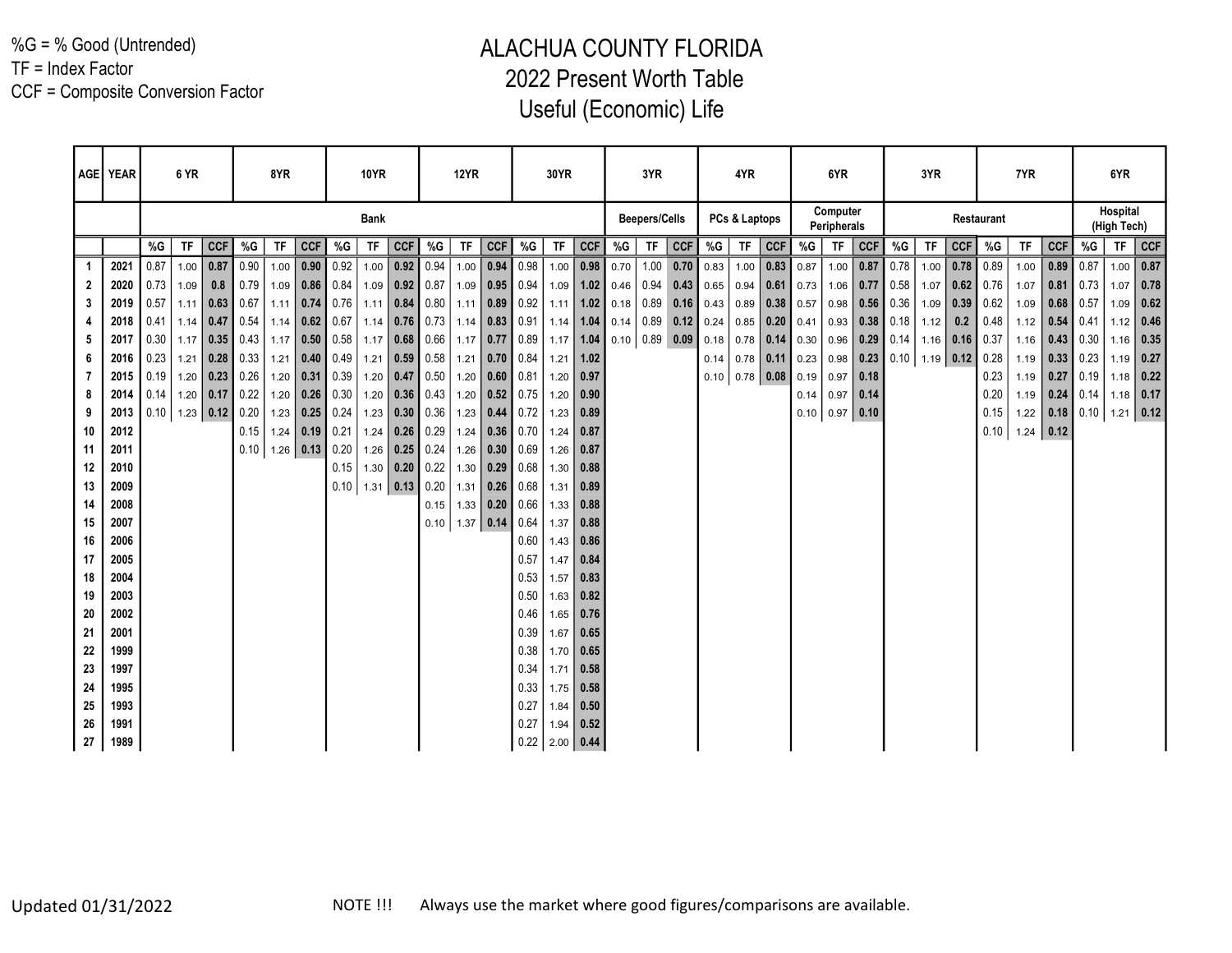%G = % Good (Untrended)

TF = Index Factor

CCF = Composite Conversion Factor

| AGE YEAR |              |      | 6 YR      |                             |      | 8YR                  |                                |                  | <b>10YR</b> |                  |                  | <b>12YR</b> |                                           |                    | <b>30YR</b>                |             |                      | 3YR                                       |                |                  | 4YR              |               |      | 6YR                     |                  |                                 | 3YR |                  |            | 7YR         |            |                  | 6YR                     |            |
|----------|--------------|------|-----------|-----------------------------|------|----------------------|--------------------------------|------------------|-------------|------------------|------------------|-------------|-------------------------------------------|--------------------|----------------------------|-------------|----------------------|-------------------------------------------|----------------|------------------|------------------|---------------|------|-------------------------|------------------|---------------------------------|-----|------------------|------------|-------------|------------|------------------|-------------------------|------------|
|          |              |      |           |                             |      |                      |                                |                  | <b>Bank</b> |                  |                  |             |                                           |                    |                            |             |                      | <b>Beepers/Cells</b>                      |                |                  | PCs & Laptops    |               |      | Computer<br>Peripherals |                  |                                 |     |                  | Restaurant |             |            |                  | Hospital<br>(High Tech) |            |
|          |              | %G   | <b>TF</b> | <b>CCF</b>                  | %G   | TF                   | <b>CCF</b>                     | %G               | TF          | CCF              | %G               | <b>TF</b>   | CCF                                       | %G                 | <b>TF</b>                  | <b>CCF</b>  | %G                   | <b>TF</b>                                 | <b>CCF</b>     | %G               |                  | TF CCF        | %G   | <b>TF</b>               | <b>CCF</b>       | %G                              | TF  | <b>CCF</b>       | %G         | TF          | <b>CCF</b> | %G               | <b>TF</b>               | <b>CCF</b> |
| 1        | 2021         | 0.87 | 1.00      | 0.87                        | 0.90 |                      | $1.00$ 0.90 0.92               |                  |             | $1.00$ 0.92 0.94 |                  |             | $1.00$ 0.94 0.98                          |                    |                            | $1.00$ 0.98 | 0.70                 | 1.00                                      | $0.70 \, 0.83$ |                  |                  | $1.00$ 0.83   | 0.87 | 1.00                    | 0.87 0.78        |                                 |     | $1.00$ 0.78 0.89 |            | 1.00        | 0.89       | 0.87             | 1.00                    | 0.87       |
| 2        | 2020         | 0.73 | 1.09      | 0.8                         | 0.79 |                      | $1.09$ 0.86 0.84               |                  |             | $1.09$ 0.92 0.87 |                  |             | $1.09$ 0.95 0.94                          |                    |                            |             | $1.09$   1.02   0.46 | 0.94                                      |                | $0.43 \mid 0.65$ |                  | $0.94$ 0.61   | 0.73 |                         | $1.06$ 0.77 0.58 |                                 |     | $1.07$ 0.62 0.76 |            | 1.07        |            | $0.81$ 0.73      | 1.07                    | 0.78       |
| 3        | 2019         | 0.57 | 1.11      | 0.63                        | 0.67 |                      |                                | $1.11$ 0.74 0.76 |             | $1.11$ 0.84 0.80 |                  |             | $1.11$ 0.89 0.92                          |                    |                            |             |                      | $1.11$   1.02   0.18   0.89 0.16   0.43   |                |                  |                  | $0.89$ 0.38   | 0.57 | 0.98                    | $0.56$ 0.36      |                                 |     | $1.09$ 0.39 0.62 |            | 1.09        |            | $0.68$ 0.57      | 1.09                    | 0.62       |
|          | 2018         | 0.41 |           | $1.14$ 0.47 0.54            |      |                      |                                | $1.14$ 0.62 0.67 |             |                  |                  |             | $1.14$   0.76   0.73   1.14   0.83   0.91 |                    |                            |             |                      | 1.14 $1.04$ 0.14 0.89 0.12 0.24           |                |                  |                  | $0.85$ 0.20   | 0.41 |                         | $0.93$ 0.38 0.18 |                                 |     | $1.12$ 0.2 0.48  |            | 1.12        |            | $0.54$ 0.41      | $1.12$ 0.46             |            |
| 5        | 2017         | 0.30 | 1.17      | $\mid$ 0.35 0.43            |      |                      |                                | $1.17$ 0.50 0.58 |             |                  |                  |             | 1.17   0.68   0.66   1.17   0.77   0.89   |                    |                            |             |                      | $1.17$   1.04   0.10   0.89   0.09   0.18 |                |                  | $0.78$ 0.14      |               | 0.30 | 0.96                    |                  |                                 |     |                  |            | 1.16        |            | 0.43 0.30        | $1.16$ 0.35             |            |
| 6        | 2016         | 0.23 | 1.21      | 0.28                        | 0.33 |                      | $1.21$ 0.40 0.49               |                  |             | $1.21$ 0.59 0.58 |                  |             | $1.21$ 0.70 0.84                          |                    | 1.21                       | 1.02        |                      |                                           |                | 0.14             |                  | $0.78$   0.11 | 0.23 |                         |                  | $0.98$ 0.23 0.10 1.19 0.12 0.28 |     |                  |            | 1.19        |            | $0.33 \mid 0.23$ | $1.19$ 0.27             |            |
| 7        | 2015         | 0.19 |           | $1.20$ 0.23 0.26            |      |                      | $1.20$ 0.31 0.39               |                  |             | $1.20$ 0.47 0.50 |                  |             | $1.20$ 0.60 0.81                          |                    | 1.20                       | 0.97        |                      |                                           |                |                  | $0.10$ 0.78 0.08 |               | 0.19 | 0.97                    | 0.18             |                                 |     |                  | 0.23       | 1.19        |            | $0.27$ 0.19      | $1.18$ 0.22             |            |
| 8        | 2014         | 0.14 |           | $1.20$ 0.17 0.22            |      |                      | $1.20$ 0.26 0.30               |                  |             | $1.20$ 0.36 0.43 |                  |             | $1.20$ 0.52 0.75                          |                    | $1.20$ 0.90                |             |                      |                                           |                |                  |                  |               |      | $0.14$ 0.97             | 0.14             |                                 |     |                  | 0.20       | 1.19        |            | $0.24$ 0.14      | $1.18$ 0.17             |            |
| 9        | 2013         |      |           | $0.10$   1.23   0.12   0.20 |      |                      | $1.23$ 0.25 0.24               |                  |             | $1.23$ 0.30 0.36 |                  |             | $1.23$ 0.44 0.72                          |                    | $1.23 \mid 0.89$           |             |                      |                                           |                |                  |                  |               |      | $0.10$ 0.97 0.10        |                  |                                 |     |                  | 0.15       | 1.22        |            | 0.18 0.10        | $1.21$ 0.12             |            |
| 10       | 2012         |      |           |                             | 0.15 |                      | 1.24 $\vert$ 0.19 $\vert$ 0.21 |                  |             | $1.24$ 0.26 0.29 |                  |             | $1.24$ 0.36 0.70                          |                    | $1.24$ 0.87                |             |                      |                                           |                |                  |                  |               |      |                         |                  |                                 |     |                  | 0.10       | $1.24$ 0.12 |            |                  |                         |            |
| 11       | 2011         |      |           |                             |      | $0.10$   1.26   0.13 |                                | $\vert$ 0.20     |             |                  | $1.26$ 0.25 0.24 |             | $1.26$ 0.30 0.69                          |                    | 1.26                       | 0.87        |                      |                                           |                |                  |                  |               |      |                         |                  |                                 |     |                  |            |             |            |                  |                         |            |
| 12       | 2010         |      |           |                             |      |                      |                                | 0.15             |             | $1.30$ 0.20 0.22 |                  |             | $1.30$ 0.29 0.68                          |                    | $1.30$ 0.88                |             |                      |                                           |                |                  |                  |               |      |                         |                  |                                 |     |                  |            |             |            |                  |                         |            |
| 13       | 2009         |      |           |                             |      |                      |                                | 0.10             |             | $1.31$ 0.13 0.20 |                  |             | $1.31$ 0.26 0.68                          |                    | $1.31$ 0.89                |             |                      |                                           |                |                  |                  |               |      |                         |                  |                                 |     |                  |            |             |            |                  |                         |            |
| 14       | 2008         |      |           |                             |      |                      |                                |                  |             |                  |                  |             | $0.15$   1.33   0.20                      | 0.66               | $1.33$ 0.88                |             |                      |                                           |                |                  |                  |               |      |                         |                  |                                 |     |                  |            |             |            |                  |                         |            |
| 15       | 2007         |      |           |                             |      |                      |                                |                  |             |                  |                  |             | $0.10$   1.37   0.14                      | $\vert 0.64 \vert$ | 1.37                       | 0.88        |                      |                                           |                |                  |                  |               |      |                         |                  |                                 |     |                  |            |             |            |                  |                         |            |
| 16       | 2006         |      |           |                             |      |                      |                                |                  |             |                  |                  |             |                                           | 0.60               | $1.43$ 0.86                |             |                      |                                           |                |                  |                  |               |      |                         |                  |                                 |     |                  |            |             |            |                  |                         |            |
| 17       | 2005         |      |           |                             |      |                      |                                |                  |             |                  |                  |             |                                           | 0.57               | $1.47$ 0.84                |             |                      |                                           |                |                  |                  |               |      |                         |                  |                                 |     |                  |            |             |            |                  |                         |            |
| 18       | 2004         |      |           |                             |      |                      |                                |                  |             |                  |                  |             |                                           | 0.53               | 1.57                       | 0.83        |                      |                                           |                |                  |                  |               |      |                         |                  |                                 |     |                  |            |             |            |                  |                         |            |
| 19<br>20 | 2003<br>2002 |      |           |                             |      |                      |                                |                  |             |                  |                  |             |                                           | 0.50<br>0.46       | $1.63$ 0.82<br>$1.65$ 0.76 |             |                      |                                           |                |                  |                  |               |      |                         |                  |                                 |     |                  |            |             |            |                  |                         |            |
| 21       | 2001         |      |           |                             |      |                      |                                |                  |             |                  |                  |             |                                           | 0.39               | $1.67$ 0.65                |             |                      |                                           |                |                  |                  |               |      |                         |                  |                                 |     |                  |            |             |            |                  |                         |            |
| 22       | 1999         |      |           |                             |      |                      |                                |                  |             |                  |                  |             |                                           | 0.38               | $1.70$ 0.65                |             |                      |                                           |                |                  |                  |               |      |                         |                  |                                 |     |                  |            |             |            |                  |                         |            |
| 23       | 1997         |      |           |                             |      |                      |                                |                  |             |                  |                  |             |                                           | 0.34               | $1.71$ 0.58                |             |                      |                                           |                |                  |                  |               |      |                         |                  |                                 |     |                  |            |             |            |                  |                         |            |
| 24       | 1995         |      |           |                             |      |                      |                                |                  |             |                  |                  |             |                                           | 0.33               | $1.75$ 0.58                |             |                      |                                           |                |                  |                  |               |      |                         |                  |                                 |     |                  |            |             |            |                  |                         |            |
| 25       | 1993         |      |           |                             |      |                      |                                |                  |             |                  |                  |             |                                           | 0.27               | $1.84$ 0.50                |             |                      |                                           |                |                  |                  |               |      |                         |                  |                                 |     |                  |            |             |            |                  |                         |            |
| 26       | 1991         |      |           |                             |      |                      |                                |                  |             |                  |                  |             |                                           | 0.27               | $1.94 \mid 0.52$           |             |                      |                                           |                |                  |                  |               |      |                         |                  |                                 |     |                  |            |             |            |                  |                         |            |
| 27       | 1989         |      |           |                             |      |                      |                                |                  |             |                  |                  |             |                                           |                    | $0.22$   2.00   0.44       |             |                      |                                           |                |                  |                  |               |      |                         |                  |                                 |     |                  |            |             |            |                  |                         |            |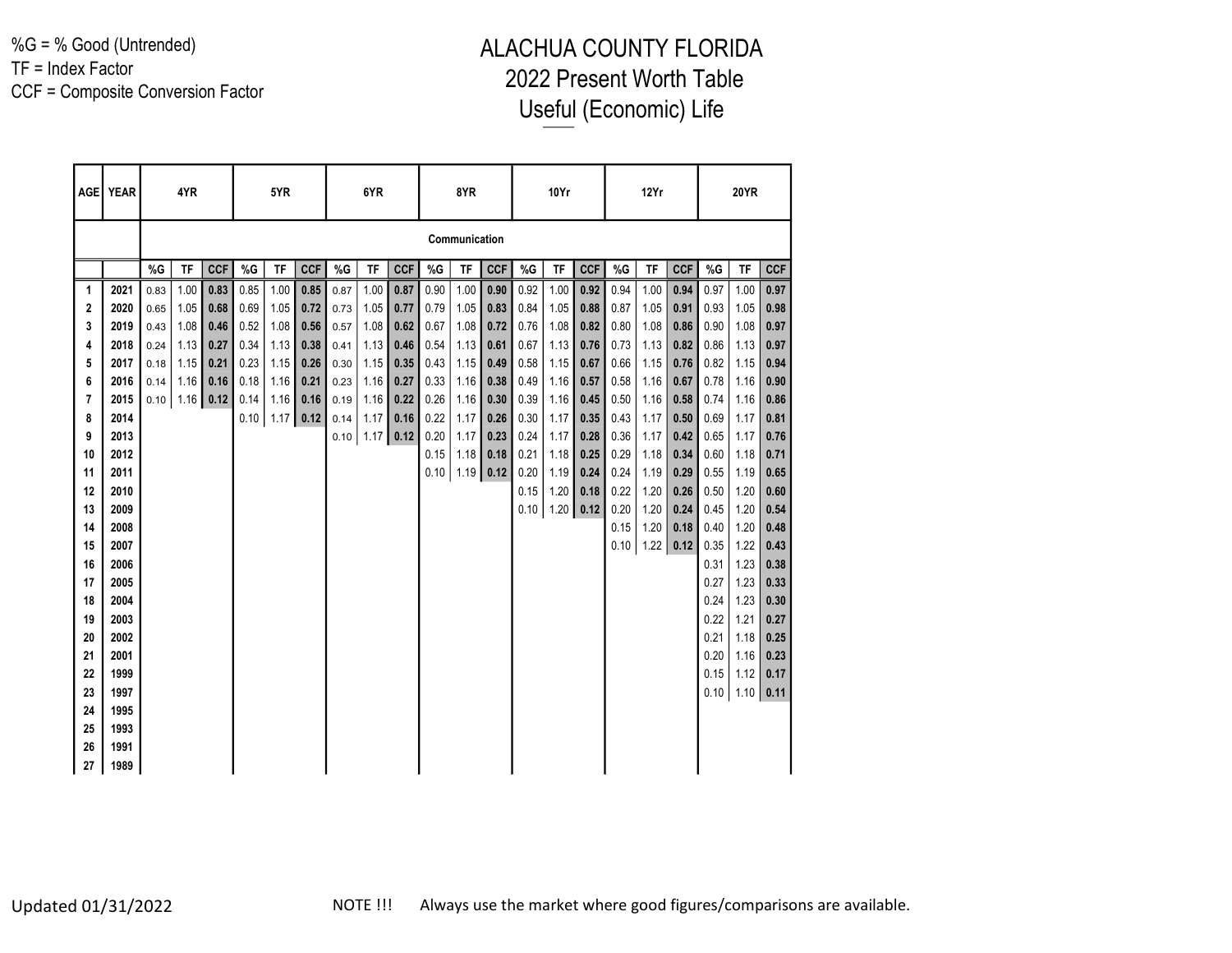%G = % Good (Untrended) TF = Index Factor CCF = Composite Conversion Factor

|    | AGE   YEAR |      | 4YR                  |            |       | 5YR  |            |      | 6YR           |            |      | 8YR           |            |      | 10Yr |            |      | 12Yr          |            |       | <b>20YR</b> |            |
|----|------------|------|----------------------|------------|-------|------|------------|------|---------------|------------|------|---------------|------------|------|------|------------|------|---------------|------------|-------|-------------|------------|
|    |            |      |                      |            |       |      |            |      |               |            |      | Communication |            |      |      |            |      |               |            |       |             |            |
|    |            | %G   | TF                   | <b>CCF</b> | $\%G$ | TF   | <b>CCF</b> | %G   | TF            | <b>CCF</b> | %G   | TF            | <b>CCF</b> | %G   | TF   | <b>CCF</b> | %G   | TF            | <b>CCF</b> | $\%G$ | TF          | <b>CCF</b> |
| 1  | 2021       | 0.83 | 1.00                 | 0.83       | 0.85  | 1.00 | 0.85       | 0.87 | 1.00          | 0.87       | 0.90 | 1.00          | 0.90       | 0.92 | 1.00 | 0.92       | 0.94 | 1.00          | 0.94       | 0.97  | 1.00        | 0.97       |
| 2  | 2020       | 0.65 | 1.05                 | 0.68       | 0.69  | 1.05 | 0.72       | 0.73 | 1.05          | 0.77       | 0.79 | 1.05          | 0.83       | 0.84 | 1.05 | 0.88       | 0.87 | 1.05          | 0.91       | 0.93  | 1.05        | 0.98       |
| 3  | 2019       | 0.43 | 1.08                 | 0.46       | 0.52  | 1.08 | 0.56       | 0.57 | 1.08          | 0.62       | 0.67 | 1.08          | 0.72       | 0.76 | 1.08 | 0.82       | 0.80 | 1.08          | 0.86       | 0.90  | 1.08        | 0.97       |
| 4  | 2018       | 0.24 | 1.13                 | 0.27       | 0.34  | 1.13 | 0.38       | 0.41 | 1.13          | 0.46       | 0.54 | 1.13          | 0.61       | 0.67 | 1.13 | 0.76       | 0.73 | 1.13          | 0.82       | 0.86  | 1.13        | 0.97       |
| 5  | 2017       | 0.18 | 1.15                 | 0.21       | 0.23  | 1.15 | 0.26       | 0.30 | 1.15          | 0.35       | 0.43 | 1.15          | 0.49       | 0.58 | 1.15 | 0.67       | 0.66 | 1.15          | 0.76       | 0.82  | 1.15        | 0.94       |
| 6  | 2016       | 0.14 | 1.16                 | 0.16       | 0.18  | 1.16 | 0.21       | 0.23 | 1.16          | 0.27       | 0.33 | 1.16          | 0.38       | 0.49 | 1.16 | 0.57       | 0.58 | 1.16          | 0.67       | 0.78  | 1.16        | 0.90       |
| 7  | 2015       |      | $0.10$   1.16   0.12 |            | 0.14  | 1.16 | 0.16       | 0.19 | 1.16          | 0.22       | 0.26 | 1.16          | 0.30       | 0.39 | 1.16 | 0.45       | 0.50 | 1.16          | 0.58       | 0.74  | 1.16        | 0.86       |
| 8  | 2014       |      |                      |            | 0.10  | 1.17 | 0.12       | 0.14 | 1.17          | 0.16       | 0.22 | 1.17          | 0.26       | 0.30 | 1.17 | 0.35       | 0.43 | 1.17          | 0.50       | 0.69  | 1.17        | 0.81       |
| 9  | 2013       |      |                      |            |       |      |            |      | $0.10$   1.17 | 0.12       | 0.20 | 1.17          | 0.23       | 0.24 | 1.17 | 0.28       | 0.36 | 1.17          | 0.42       | 0.65  | 1.17        | 0.76       |
| 10 | 2012       |      |                      |            |       |      |            |      |               |            | 0.15 | 1.18          | 0.18       | 0.21 | 1.18 | 0.25       | 0.29 | 1.18          | 0.34       | 0.60  | 1.18        | 0.71       |
| 11 | 2011       |      |                      |            |       |      |            |      |               |            | 0.10 | $1.19$ 0.12   |            | 0.20 | 1.19 | 0.24       | 0.24 | 1.19          | 0.29       | 0.55  | 1.19        | 0.65       |
| 12 | 2010       |      |                      |            |       |      |            |      |               |            |      |               |            | 0.15 | 1.20 | 0.18       | 0.22 | 1.20          | 0.26       | 0.50  | 1.20        | 0.60       |
| 13 | 2009       |      |                      |            |       |      |            |      |               |            |      |               |            | 0.10 | 1.20 | 0.12       | 0.20 | 1.20          | 0.24       | 0.45  | 1.20        | 0.54       |
| 14 | 2008       |      |                      |            |       |      |            |      |               |            |      |               |            |      |      |            | 0.15 | 1.20          | 0.18       | 0.40  | 1.20        | 0.48       |
| 15 | 2007       |      |                      |            |       |      |            |      |               |            |      |               |            |      |      |            |      | $0.10$   1.22 | 0.12       | 0.35  | 1.22        | 0.43       |
| 16 | 2006       |      |                      |            |       |      |            |      |               |            |      |               |            |      |      |            |      |               |            | 0.31  | 1.23        | 0.38       |
| 17 | 2005       |      |                      |            |       |      |            |      |               |            |      |               |            |      |      |            |      |               |            | 0.27  | 1.23        | 0.33       |
| 18 | 2004       |      |                      |            |       |      |            |      |               |            |      |               |            |      |      |            |      |               |            | 0.24  | 1.23        | 0.30       |
| 19 | 2003       |      |                      |            |       |      |            |      |               |            |      |               |            |      |      |            |      |               |            | 0.22  | 1.21        | 0.27       |
| 20 | 2002       |      |                      |            |       |      |            |      |               |            |      |               |            |      |      |            |      |               |            | 0.21  | 1.18        | 0.25       |
| 21 | 2001       |      |                      |            |       |      |            |      |               |            |      |               |            |      |      |            |      |               |            | 0.20  | 1.16        | 0.23       |
| 22 | 1999       |      |                      |            |       |      |            |      |               |            |      |               |            |      |      |            |      |               |            | 0.15  | 1.12        | 0.17       |
| 23 | 1997       |      |                      |            |       |      |            |      |               |            |      |               |            |      |      |            |      |               |            | 0.10  | 1.10        | 0.11       |
| 24 | 1995       |      |                      |            |       |      |            |      |               |            |      |               |            |      |      |            |      |               |            |       |             |            |
| 25 | 1993       |      |                      |            |       |      |            |      |               |            |      |               |            |      |      |            |      |               |            |       |             |            |
| 26 | 1991       |      |                      |            |       |      |            |      |               |            |      |               |            |      |      |            |      |               |            |       |             |            |
| 27 | 1989       |      |                      |            |       |      |            |      |               |            |      |               |            |      |      |            |      |               |            |       |             |            |